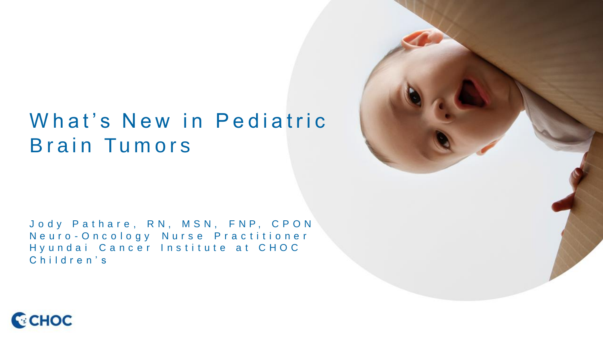## What's New in Pediatric Brain Tumors

Jody Pathare, RN, MSN, FNP, CPON Neuro - Oncology Nurse Practitioner Hy undai Cancer Institute at CHOC Children's



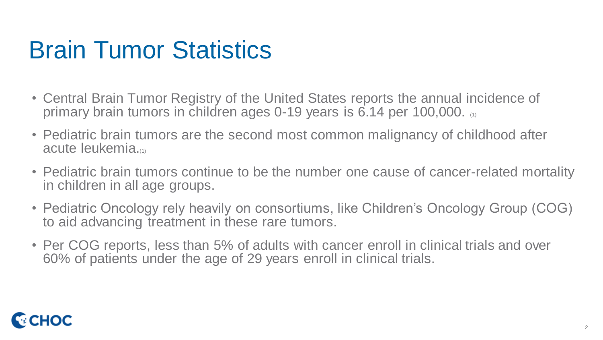# Brain Tumor Statistics

- Central Brain Tumor Registry of the United States reports the annual incidence of primary brain tumors in children ages 0-19 years is 6.14 per 100,000.
- Pediatric brain tumors are the second most common malignancy of childhood after acute leukemia.(1)
- Pediatric brain tumors continue to be the number one cause of cancer-related mortality in children in all age groups.
- Pediatric Oncology rely heavily on consortiums, like Children's Oncology Group (COG) to aid advancing treatment in these rare tumors.
- Per COG reports, less than 5% of adults with cancer enroll in clinical trials and over 60% of patients under the age of 29 years enroll in clinical trials.

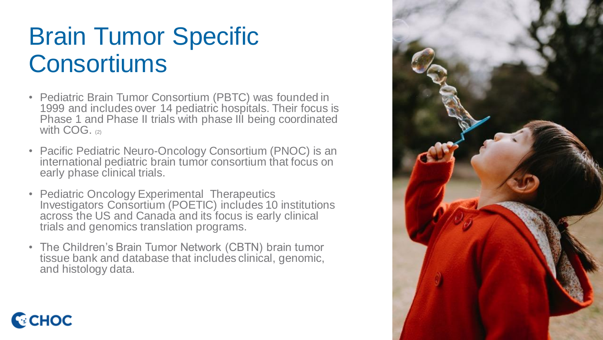# Brain Tumor Specific **Consortiums**

- Pediatric Brain Tumor Consortium (PBTC) was founded in 1999 and includes over 14 pediatric hospitals. Their focus is Phase 1 and Phase II trials with phase III being coordinated with COG. (2)
- Pacific Pediatric Neuro-Oncology Consortium (PNOC) is an international pediatric brain tumor consortium that focus on early phase clinical trials.
- Pediatric Oncology Experimental Therapeutics Investigators Consortium (POETIC) includes 10 institutions across the US and Canada and its focus is early clinical trials and genomics translation programs.
- The Children's Brain Tumor Network (CBTN) brain tumor tissue bank and database that includes clinical, genomic, and histology data.

**C**CHOC

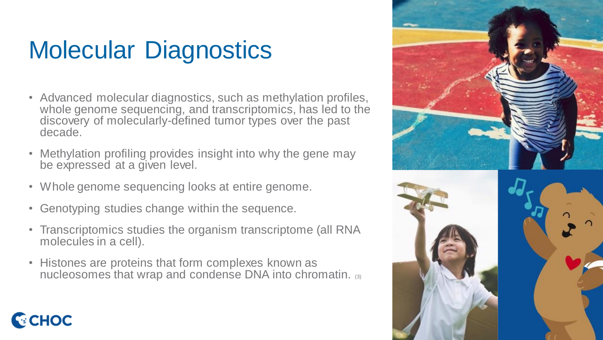# Molecular Diagnostics

- Advanced molecular diagnostics, such as methylation profiles, whole genome sequencing, and transcriptomics, has led to the discovery of molecularly-defined tumor types over the past decade.
- Methylation profiling provides insight into why the gene may be expressed at a given level.
- Whole genome sequencing looks at entire genome.
- Genotyping studies change within the sequence.

**C**CHOC

- Transcriptomics studies the organism transcriptome (all RNA molecules in a cell).
- Histones are proteins that form complexes known as nucleosomes that wrap and condense DNA into chromatin. (3)

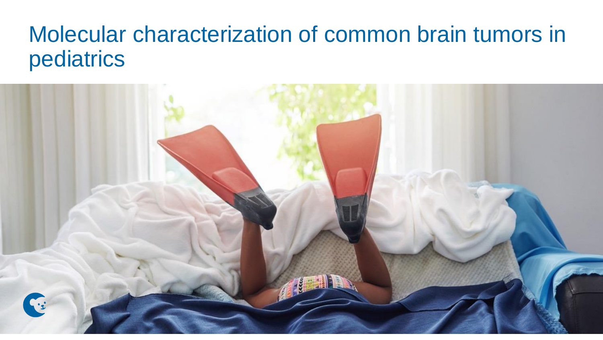## Molecular characterization of common brain tumors in pediatrics

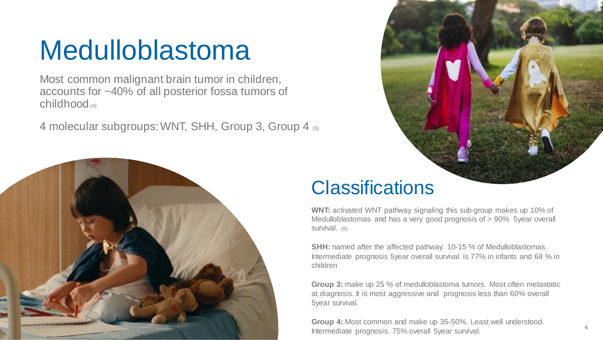# Medulloblastoma

Most common malignant brain tumor in children, accounts for ~40% of all posterior fossa tumors of  $childhood$ <sub>(4)</sub>

4 molecular subgroups: WNT, SHH, Group 3, Group 4 (5)



#### **Classifications**

**WNT:** activated WNT pathway signaling this sub-group makes up 10% of Medulloblastomas and has a very good prognosis of > 90% 5year overall survival. (6)

**SHH:** named after the affected pathway. 10-15 % of Medulloblastomas. Intermediate prognosis 5year overall survival is 77% in infants and 68 % in children

**Group 3:** make up 25 % of medulloblastoma tumors. Most often metastatic at diagnosis. It is most aggressive and prognosis less than 60% overall 5year survival.

**Group 4:** Most common and make up 35-50%. Least well understood. Intermediate prognosis. 75% overall 5year survival.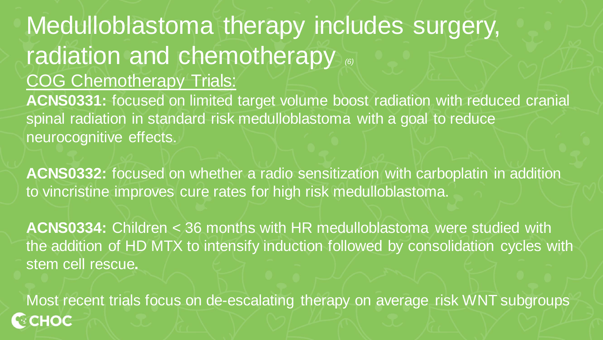### Medulloblastoma therapy includes surgery, radiation and chemotherapy  $\binom{6}{6}$ COG Chemotherapy Trials: **ACNS0331:** focused on limited target volume boost radiation with reduced cranial spinal radiation in standard risk medulloblastoma with a goal to reduce neurocognitive effects.

**ACNS0332:** focused on whether a radio sensitization with carboplatin in addition to vincristine improves cure rates for high risk medulloblastoma.

**ACNS0334:** Children < 36 months with HR medulloblastoma were studied with the addition of HD MTX to intensify induction followed by consolidation cycles with stem cell rescue**.**

Most recent trials focus on de-escalating therapy on average risk WNT subgroups**CHOC**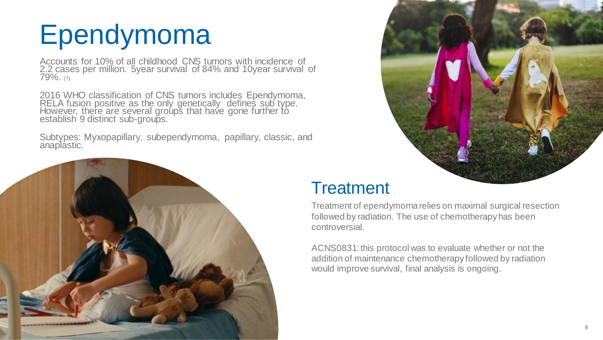# Ependymoma

Accounts for 10% of all childhood CNS tumors with incidence of 2.2 cases per million. 5year survival of 84% and 10year survival of 79%. (7)

2016 WHO classification of CNS tumors includes Ependymoma, RELA fusion positive as the only genetically defines sub type. However, there are several groups that have gone further to establish<sup>'</sup> 9 distinct sub-groups.

Subtypes: Myxopapillary, subependymoma, papillary, classic, and anaplastic.





#### **Treatment**

Treatment of ependymoma relies on maximal surgical resection followed by radiation. The use of chemotherapy has been controversial.

ACNS0831: this protocol was to evaluate whether or not the addition of maintenance chemotherapy followed by radiation would improve survival, final analysis is ongoing.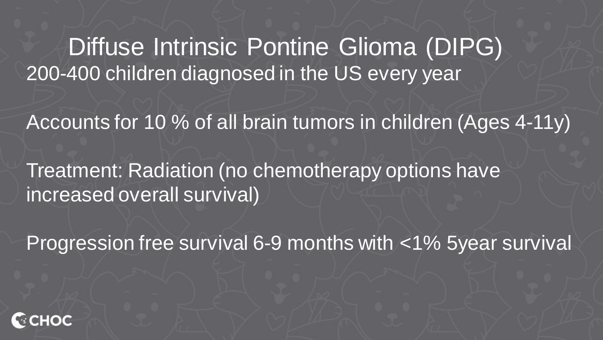Diffuse Intrinsic Pontine Glioma (DIPG) 200-400 children diagnosed in the US every year

Accounts for 10 % of all brain tumors in children (Ages 4-11y)

Treatment: Radiation (no chemotherapy options have increased overall survival)

Progression free survival 6-9 months with <1% 5year survival

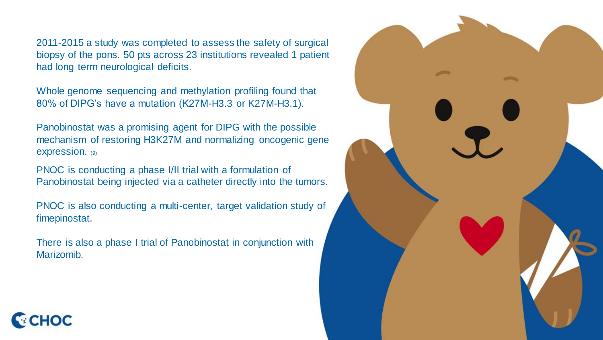2011-2015 a study was completed to assess the safety of surgical biopsy of the pons. 50 pts across 23 institutions revealed 1 patient had long term neurological deficits.

Whole genome sequencing and methylation profiling found that 80% of DIPG's have a mutation (K27M-H3.3 or K27M-H3.1).

Panobinostat was a promising agent for DIPG with the possible mechanism of restoring H3K27M and normalizing oncogenic gene expression. (9)

PNOC is conducting a phase I/II trial with a formulation of Panobinostat being injected via a catheter directly into the tumors.

PNOC is also conducting a multi-center, target validation study of fimepinostat.

There is also a phase I trial of Panobinostat in conjunction with Marizomib.



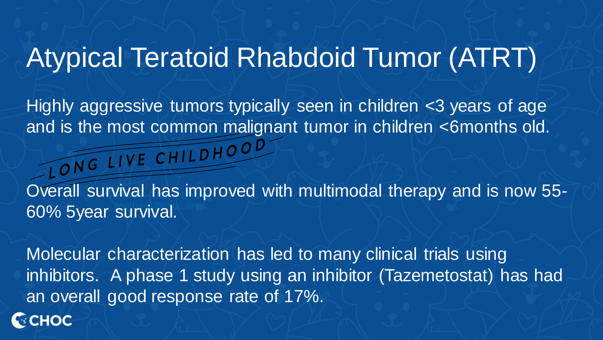## Atypical Teratoid Rhabdoid Tumor (ATRT)

Highly aggressive tumors typically seen in children <3 years of age and is the most common malignant tumor in children <6months old.<br>
CONG LIVE CHILDHOOD

Overall survival has improved with multimodal therapy and is now 55-60% 5year survival.

Molecular characterization has led to many clinical trials using inhibitors. A phase 1 study using an inhibitor (Tazemetostat) has had an overall good response rate of 17%.

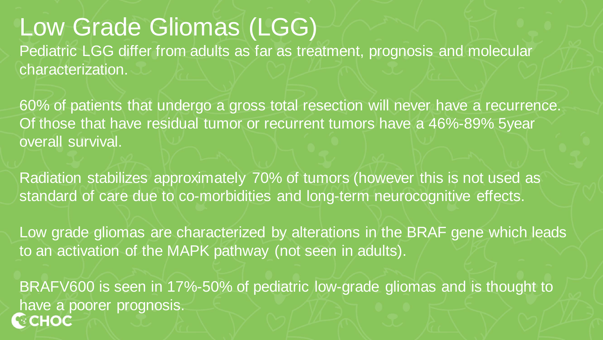## Low Grade Gliomas (LGG)

Pediatric LGG differ from adults as far as treatment, prognosis and molecular characterization.

60% of patients that undergo a gross total resection will never have a recurrence. Of those that have residual tumor or recurrent tumors have a 46%-89% 5year overall survival.

Radiation stabilizes approximately 70% of tumors (however this is not used as standard of care due to co-morbidities and long-term neurocognitive effects.

Low grade gliomas are characterized by alterations in the BRAF gene which leads to an activation of the MAPK pathway (not seen in adults).

BRAFV600 is seen in 17%-50% of pediatric low-grade gliomas and is thought to have a poorer prognosis. **ECHOC**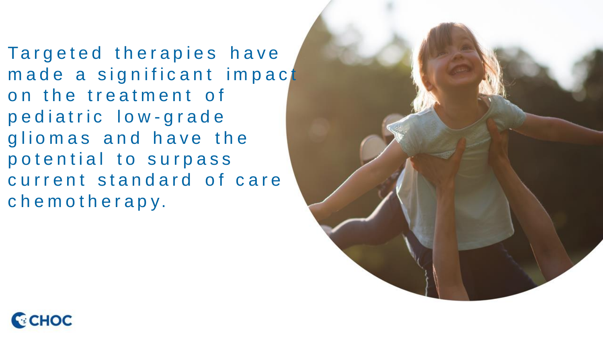Targeted therapies have made a significant impact on the treatment of p e diatric low-grade gliomas and have the potential to surpass current standard of care chemotherapy.



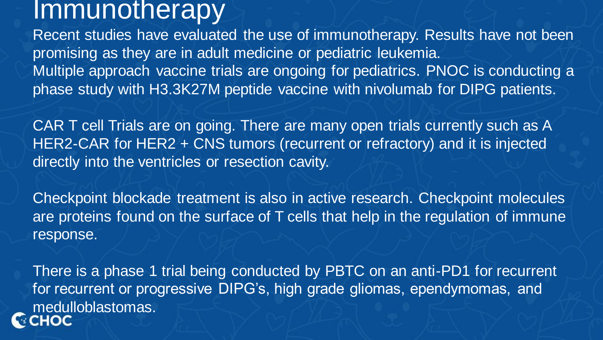## **Immunotherapy**

Recent studies have evaluated the use of immunotherapy. Results have not been promising as they are in adult medicine or pediatric leukemia. Multiple approach vaccine trials are ongoing for pediatrics. PNOC is conducting a phase study with H3.3K27M peptide vaccine with nivolumab for DIPG patients.

CAR T cell Trials are on going. There are many open trials currently such as A HER2-CAR for HER2 + CNS tumors (recurrent or refractory) and it is injected directly into the ventricles or resection cavity.

Checkpoint blockade treatment is also in active research. Checkpoint molecules are proteins found on the surface of T cells that help in the regulation of immune response.

There is a phase 1 trial being conducted by PBTC on an anti-PD1 for recurrent for recurrent or progressive DIPG's, high grade gliomas, ependymomas, and medulloblastomas.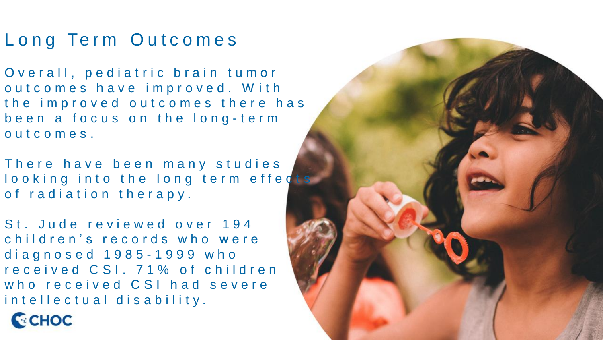#### Long Term Outcomes

Overall, pediatric brain tumor out comes have improved. With the improved outcomes there has been a focus on the long-term o u t c o m e s.

There have been many studies looking into the long term effects of radiation therapy.

St. Jude reviewed over 194 children's records who were d i a g n o s e d 1 9 8 5 - 1 9 9 9 w h o received CSI. 71% of children who received CSI had severe intellectual disability.



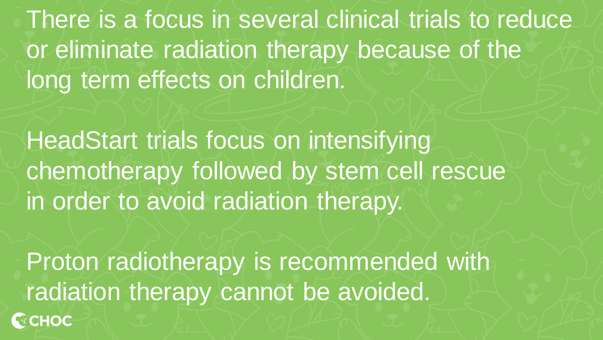There is a focus in several clinical trials to reduce or eliminate radiation therapy because of the long term effects on children.

HeadStart trials focus on intensifying chemotherapy followed by stem cell rescue in order to avoid radiation therapy.

Proton radiotherapy is recommended with radiation therapy cannot be avoided.**GCHOC**